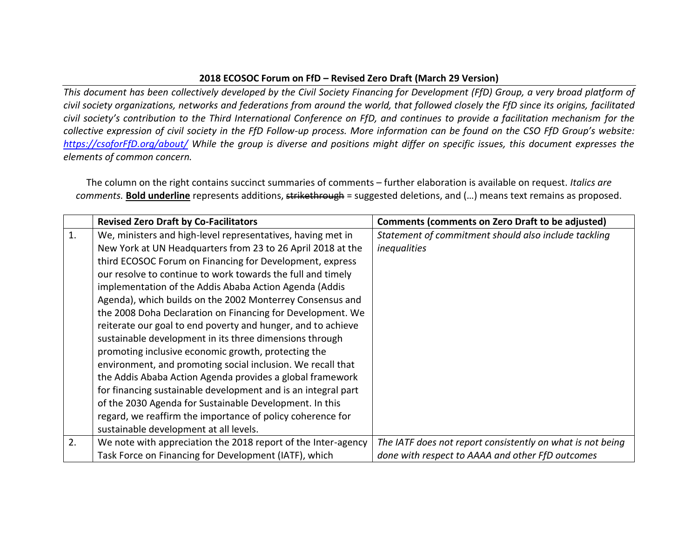## **2018 ECOSOC Forum on FfD – Revised Zero Draft (March 29 Version)**

*This document has been collectively developed by the Civil Society Financing for Development (FfD) Group, a very broad platform of civil society organizations, networks and federations from around the world, that followed closely the FfD since its origins, facilitated civil society's contribution to the Third International Conference on FfD, and continues to provide a facilitation mechanism for the collective expression of civil society in the FfD Follow-up process. More information can be found on the CSO FfD Group's website: [https://csoforFfD.org/about/](https://csoforffd.org/about/) While the group is diverse and positions might differ on specific issues, this document expresses the elements of common concern.*

The column on the right contains succinct summaries of comments – further elaboration is available on request. *Italics are comments.* **Bold underline** represents additions, strikethrough = suggested deletions, and (…) means text remains as proposed.

|    | <b>Revised Zero Draft by Co-Facilitators</b>                  | <b>Comments (comments on Zero Draft to be adjusted)</b>    |
|----|---------------------------------------------------------------|------------------------------------------------------------|
| 1. | We, ministers and high-level representatives, having met in   | Statement of commitment should also include tackling       |
|    | New York at UN Headquarters from 23 to 26 April 2018 at the   | inequalities                                               |
|    | third ECOSOC Forum on Financing for Development, express      |                                                            |
|    | our resolve to continue to work towards the full and timely   |                                                            |
|    | implementation of the Addis Ababa Action Agenda (Addis        |                                                            |
|    | Agenda), which builds on the 2002 Monterrey Consensus and     |                                                            |
|    | the 2008 Doha Declaration on Financing for Development. We    |                                                            |
|    | reiterate our goal to end poverty and hunger, and to achieve  |                                                            |
|    | sustainable development in its three dimensions through       |                                                            |
|    | promoting inclusive economic growth, protecting the           |                                                            |
|    | environment, and promoting social inclusion. We recall that   |                                                            |
|    | the Addis Ababa Action Agenda provides a global framework     |                                                            |
|    | for financing sustainable development and is an integral part |                                                            |
|    | of the 2030 Agenda for Sustainable Development. In this       |                                                            |
|    | regard, we reaffirm the importance of policy coherence for    |                                                            |
|    | sustainable development at all levels.                        |                                                            |
| 2. | We note with appreciation the 2018 report of the Inter-agency | The IATF does not report consistently on what is not being |
|    | Task Force on Financing for Development (IATF), which         | done with respect to AAAA and other FfD outcomes           |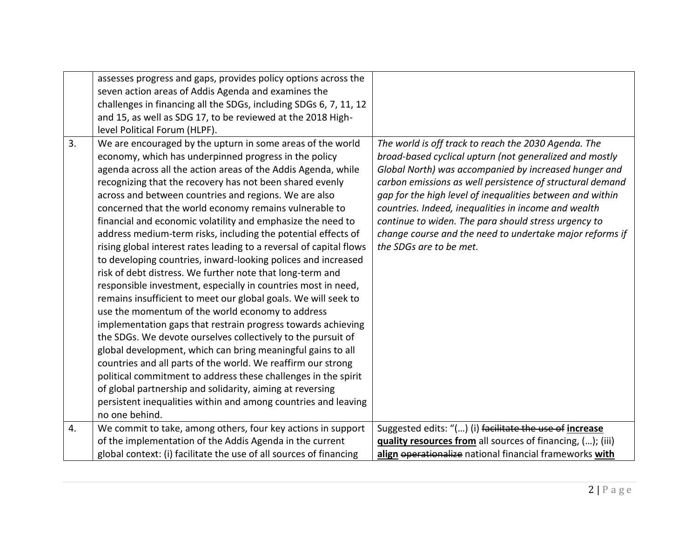|    | assesses progress and gaps, provides policy options across the<br>seven action areas of Addis Agenda and examines the<br>challenges in financing all the SDGs, including SDGs 6, 7, 11, 12<br>and 15, as well as SDG 17, to be reviewed at the 2018 High-<br>level Political Forum (HLPF).                                                                                                                                                                                                                                                                                                                                                                                                                                                                                                                                                                                                                                                                                                                                                                                                                                                                                                                                                                                                                                                                                        |                                                                                                                                                                                                                                                                                                                                                                                                                                                                                                           |
|----|-----------------------------------------------------------------------------------------------------------------------------------------------------------------------------------------------------------------------------------------------------------------------------------------------------------------------------------------------------------------------------------------------------------------------------------------------------------------------------------------------------------------------------------------------------------------------------------------------------------------------------------------------------------------------------------------------------------------------------------------------------------------------------------------------------------------------------------------------------------------------------------------------------------------------------------------------------------------------------------------------------------------------------------------------------------------------------------------------------------------------------------------------------------------------------------------------------------------------------------------------------------------------------------------------------------------------------------------------------------------------------------|-----------------------------------------------------------------------------------------------------------------------------------------------------------------------------------------------------------------------------------------------------------------------------------------------------------------------------------------------------------------------------------------------------------------------------------------------------------------------------------------------------------|
| 3. | We are encouraged by the upturn in some areas of the world<br>economy, which has underpinned progress in the policy<br>agenda across all the action areas of the Addis Agenda, while<br>recognizing that the recovery has not been shared evenly<br>across and between countries and regions. We are also<br>concerned that the world economy remains vulnerable to<br>financial and economic volatility and emphasize the need to<br>address medium-term risks, including the potential effects of<br>rising global interest rates leading to a reversal of capital flows<br>to developing countries, inward-looking polices and increased<br>risk of debt distress. We further note that long-term and<br>responsible investment, especially in countries most in need,<br>remains insufficient to meet our global goals. We will seek to<br>use the momentum of the world economy to address<br>implementation gaps that restrain progress towards achieving<br>the SDGs. We devote ourselves collectively to the pursuit of<br>global development, which can bring meaningful gains to all<br>countries and all parts of the world. We reaffirm our strong<br>political commitment to address these challenges in the spirit<br>of global partnership and solidarity, aiming at reversing<br>persistent inequalities within and among countries and leaving<br>no one behind. | The world is off track to reach the 2030 Agenda. The<br>broad-based cyclical upturn (not generalized and mostly<br>Global North) was accompanied by increased hunger and<br>carbon emissions as well persistence of structural demand<br>gap for the high level of inequalities between and within<br>countries. Indeed, inequalities in income and wealth<br>continue to widen. The para should stress urgency to<br>change course and the need to undertake major reforms if<br>the SDGs are to be met. |
| 4. | We commit to take, among others, four key actions in support<br>of the implementation of the Addis Agenda in the current                                                                                                                                                                                                                                                                                                                                                                                                                                                                                                                                                                                                                                                                                                                                                                                                                                                                                                                                                                                                                                                                                                                                                                                                                                                          | Suggested edits: "() (i) facilitate the use of increase<br>quality resources from all sources of financing, (); (iii)                                                                                                                                                                                                                                                                                                                                                                                     |
|    | global context: (i) facilitate the use of all sources of financing                                                                                                                                                                                                                                                                                                                                                                                                                                                                                                                                                                                                                                                                                                                                                                                                                                                                                                                                                                                                                                                                                                                                                                                                                                                                                                                | align eperationalize national financial frameworks with                                                                                                                                                                                                                                                                                                                                                                                                                                                   |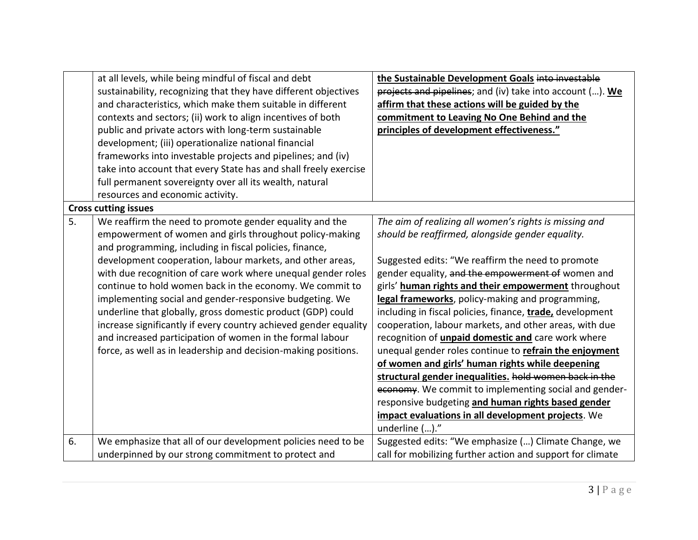|    | at all levels, while being mindful of fiscal and debt            | the Sustainable Development Goals into investable          |
|----|------------------------------------------------------------------|------------------------------------------------------------|
|    | sustainability, recognizing that they have different objectives  | projects and pipelines; and (iv) take into account (). We  |
|    | and characteristics, which make them suitable in different       | affirm that these actions will be guided by the            |
|    | contexts and sectors; (ii) work to align incentives of both      | commitment to Leaving No One Behind and the                |
|    | public and private actors with long-term sustainable             | principles of development effectiveness."                  |
|    | development; (iii) operationalize national financial             |                                                            |
|    | frameworks into investable projects and pipelines; and (iv)      |                                                            |
|    | take into account that every State has and shall freely exercise |                                                            |
|    | full permanent sovereignty over all its wealth, natural          |                                                            |
|    | resources and economic activity.                                 |                                                            |
|    | <b>Cross cutting issues</b>                                      |                                                            |
| 5. | We reaffirm the need to promote gender equality and the          | The aim of realizing all women's rights is missing and     |
|    | empowerment of women and girls throughout policy-making          | should be reaffirmed, alongside gender equality.           |
|    | and programming, including in fiscal policies, finance,          |                                                            |
|    | development cooperation, labour markets, and other areas,        | Suggested edits: "We reaffirm the need to promote          |
|    | with due recognition of care work where unequal gender roles     | gender equality, and the empowerment of women and          |
|    | continue to hold women back in the economy. We commit to         | girls' human rights and their empowerment throughout       |
|    | implementing social and gender-responsive budgeting. We          | legal frameworks, policy-making and programming,           |
|    | underline that globally, gross domestic product (GDP) could      | including in fiscal policies, finance, trade, development  |
|    | increase significantly if every country achieved gender equality | cooperation, labour markets, and other areas, with due     |
|    | and increased participation of women in the formal labour        | recognition of <i>unpaid domestic and</i> care work where  |
|    | force, as well as in leadership and decision-making positions.   | unequal gender roles continue to refrain the enjoyment     |
|    |                                                                  | of women and girls' human rights while deepening           |
|    |                                                                  | structural gender inequalities. hold women back in the     |
|    |                                                                  | economy. We commit to implementing social and gender-      |
|    |                                                                  | responsive budgeting and human rights based gender         |
|    |                                                                  | impact evaluations in all development projects. We         |
|    |                                                                  | underline ()."                                             |
| 6. | We emphasize that all of our development policies need to be     | Suggested edits: "We emphasize () Climate Change, we       |
|    | underpinned by our strong commitment to protect and              | call for mobilizing further action and support for climate |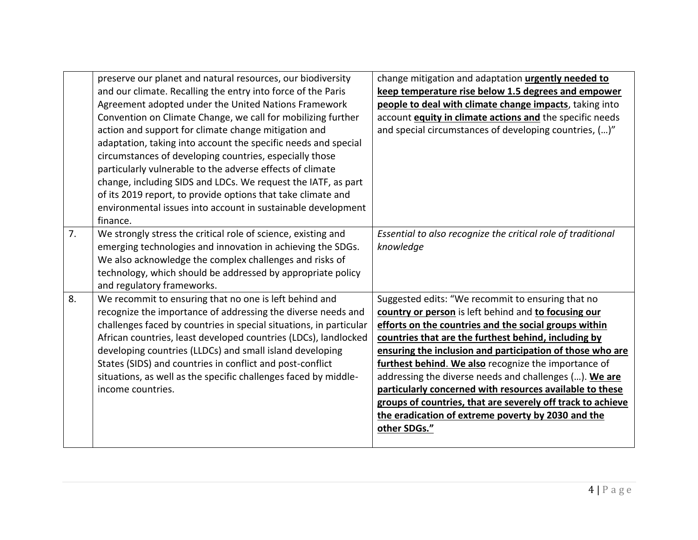|    | preserve our planet and natural resources, our biodiversity<br>and our climate. Recalling the entry into force of the Paris<br>Agreement adopted under the United Nations Framework<br>Convention on Climate Change, we call for mobilizing further<br>action and support for climate change mitigation and<br>adaptation, taking into account the specific needs and special<br>circumstances of developing countries, especially those<br>particularly vulnerable to the adverse effects of climate<br>change, including SIDS and LDCs. We request the IATF, as part<br>of its 2019 report, to provide options that take climate and<br>environmental issues into account in sustainable development<br>finance. | change mitigation and adaptation urgently needed to<br>keep temperature rise below 1.5 degrees and empower<br>people to deal with climate change impacts, taking into<br>account equity in climate actions and the specific needs<br>and special circumstances of developing countries, ()"                                                                                                                                                                                                                                                                                                                |
|----|--------------------------------------------------------------------------------------------------------------------------------------------------------------------------------------------------------------------------------------------------------------------------------------------------------------------------------------------------------------------------------------------------------------------------------------------------------------------------------------------------------------------------------------------------------------------------------------------------------------------------------------------------------------------------------------------------------------------|------------------------------------------------------------------------------------------------------------------------------------------------------------------------------------------------------------------------------------------------------------------------------------------------------------------------------------------------------------------------------------------------------------------------------------------------------------------------------------------------------------------------------------------------------------------------------------------------------------|
| 7. | We strongly stress the critical role of science, existing and<br>emerging technologies and innovation in achieving the SDGs.<br>We also acknowledge the complex challenges and risks of<br>technology, which should be addressed by appropriate policy<br>and regulatory frameworks.                                                                                                                                                                                                                                                                                                                                                                                                                               | Essential to also recognize the critical role of traditional<br>knowledge                                                                                                                                                                                                                                                                                                                                                                                                                                                                                                                                  |
| 8. | We recommit to ensuring that no one is left behind and<br>recognize the importance of addressing the diverse needs and<br>challenges faced by countries in special situations, in particular<br>African countries, least developed countries (LDCs), landlocked<br>developing countries (LLDCs) and small island developing<br>States (SIDS) and countries in conflict and post-conflict<br>situations, as well as the specific challenges faced by middle-<br>income countries.                                                                                                                                                                                                                                   | Suggested edits: "We recommit to ensuring that no<br>country or person is left behind and to focusing our<br>efforts on the countries and the social groups within<br>countries that are the furthest behind, including by<br>ensuring the inclusion and participation of those who are<br>furthest behind. We also recognize the importance of<br>addressing the diverse needs and challenges (). We are<br>particularly concerned with resources available to these<br>groups of countries, that are severely off track to achieve<br>the eradication of extreme poverty by 2030 and the<br>other SDGs." |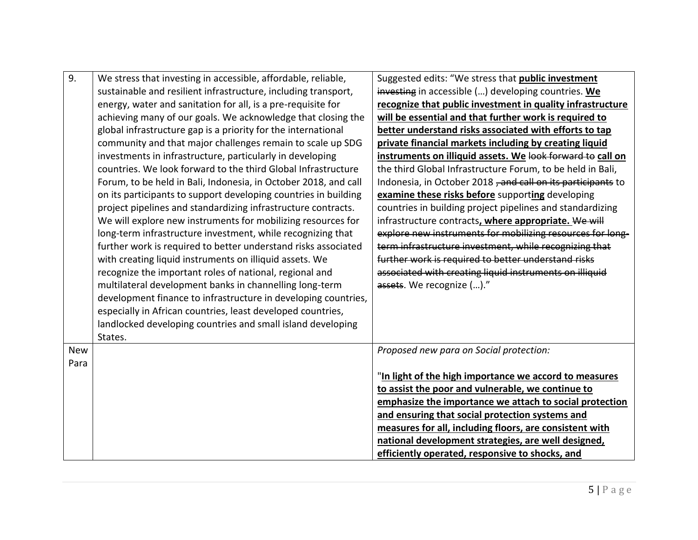| 9.         | We stress that investing in accessible, affordable, reliable,   | Suggested edits: "We stress that <b>public investment</b>   |
|------------|-----------------------------------------------------------------|-------------------------------------------------------------|
|            | sustainable and resilient infrastructure, including transport,  | investing in accessible () developing countries. We         |
|            | energy, water and sanitation for all, is a pre-requisite for    | recognize that public investment in quality infrastructure  |
|            | achieving many of our goals. We acknowledge that closing the    | will be essential and that further work is required to      |
|            | global infrastructure gap is a priority for the international   | better understand risks associated with efforts to tap      |
|            | community and that major challenges remain to scale up SDG      | private financial markets including by creating liquid      |
|            | investments in infrastructure, particularly in developing       | instruments on illiquid assets. We look forward to call on  |
|            | countries. We look forward to the third Global Infrastructure   | the third Global Infrastructure Forum, to be held in Bali,  |
|            | Forum, to be held in Bali, Indonesia, in October 2018, and call | Indonesia, in October 2018, and call on its participants to |
|            | on its participants to support developing countries in building | examine these risks before supporting developing            |
|            | project pipelines and standardizing infrastructure contracts.   | countries in building project pipelines and standardizing   |
|            | We will explore new instruments for mobilizing resources for    | infrastructure contracts, where appropriate. We will        |
|            | long-term infrastructure investment, while recognizing that     | explore new instruments for mobilizing resources for long-  |
|            | further work is required to better understand risks associated  | term infrastructure investment, while recognizing that      |
|            | with creating liquid instruments on illiquid assets. We         | further work is required to better understand risks         |
|            | recognize the important roles of national, regional and         | associated with creating liquid instruments on illiquid     |
|            | multilateral development banks in channelling long-term         | assets. We recognize ()."                                   |
|            | development finance to infrastructure in developing countries,  |                                                             |
|            | especially in African countries, least developed countries,     |                                                             |
|            | landlocked developing countries and small island developing     |                                                             |
|            | States.                                                         |                                                             |
| <b>New</b> |                                                                 | Proposed new para on Social protection:                     |
| Para       |                                                                 |                                                             |
|            |                                                                 | "In light of the high importance we accord to measures      |
|            |                                                                 | to assist the poor and vulnerable, we continue to           |
|            |                                                                 | emphasize the importance we attach to social protection     |
|            |                                                                 | and ensuring that social protection systems and             |
|            |                                                                 | measures for all, including floors, are consistent with     |
|            |                                                                 | national development strategies, are well designed,         |
|            |                                                                 | efficiently operated, responsive to shocks, and             |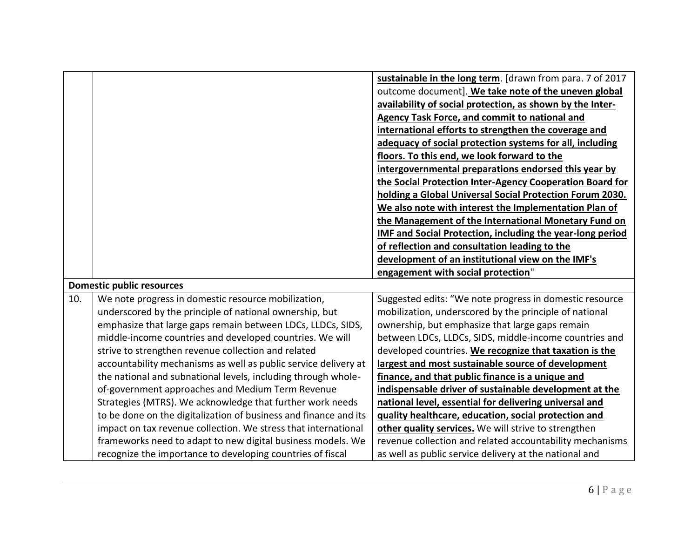|     |                                                                  | sustainable in the long term. [drawn from para. 7 of 2017        |
|-----|------------------------------------------------------------------|------------------------------------------------------------------|
|     |                                                                  | outcome document]. We take note of the uneven global             |
|     |                                                                  | availability of social protection, as shown by the Inter-        |
|     |                                                                  | <b>Agency Task Force, and commit to national and</b>             |
|     |                                                                  | international efforts to strengthen the coverage and             |
|     |                                                                  | adequacy of social protection systems for all, including         |
|     |                                                                  | floors. To this end, we look forward to the                      |
|     |                                                                  | intergovernmental preparations endorsed this year by             |
|     |                                                                  | the Social Protection Inter-Agency Cooperation Board for         |
|     |                                                                  | holding a Global Universal Social Protection Forum 2030.         |
|     |                                                                  | We also note with interest the Implementation Plan of            |
|     |                                                                  | the Management of the International Monetary Fund on             |
|     |                                                                  | <b>IMF and Social Protection, including the year-long period</b> |
|     |                                                                  | of reflection and consultation leading to the                    |
|     |                                                                  | development of an institutional view on the IMF's                |
|     |                                                                  |                                                                  |
|     |                                                                  | engagement with social protection"                               |
|     | <b>Domestic public resources</b>                                 |                                                                  |
| 10. | We note progress in domestic resource mobilization,              | Suggested edits: "We note progress in domestic resource          |
|     | underscored by the principle of national ownership, but          | mobilization, underscored by the principle of national           |
|     | emphasize that large gaps remain between LDCs, LLDCs, SIDS,      | ownership, but emphasize that large gaps remain                  |
|     | middle-income countries and developed countries. We will         | between LDCs, LLDCs, SIDS, middle-income countries and           |
|     | strive to strengthen revenue collection and related              | developed countries. We recognize that taxation is the           |
|     | accountability mechanisms as well as public service delivery at  | largest and most sustainable source of development               |
|     | the national and subnational levels, including through whole-    | finance, and that public finance is a unique and                 |
|     | of-government approaches and Medium Term Revenue                 | indispensable driver of sustainable development at the           |
|     | Strategies (MTRS). We acknowledge that further work needs        | national level, essential for delivering universal and           |
|     | to be done on the digitalization of business and finance and its | quality healthcare, education, social protection and             |
|     | impact on tax revenue collection. We stress that international   | other quality services. We will strive to strengthen             |
|     | frameworks need to adapt to new digital business models. We      | revenue collection and related accountability mechanisms         |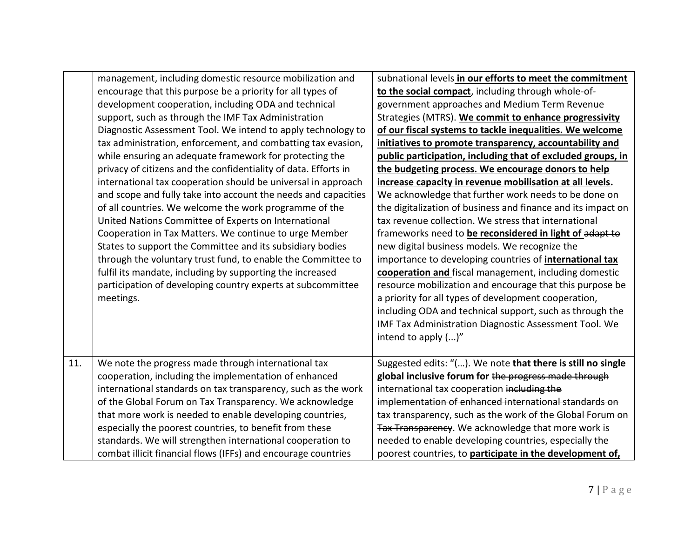|     | management, including domestic resource mobilization and<br>encourage that this purpose be a priority for all types of<br>development cooperation, including ODA and technical<br>support, such as through the IMF Tax Administration<br>Diagnostic Assessment Tool. We intend to apply technology to<br>tax administration, enforcement, and combatting tax evasion,<br>while ensuring an adequate framework for protecting the                                                                                                                                                                                                                     | subnational levels in our efforts to meet the commitment<br>to the social compact, including through whole-of-<br>government approaches and Medium Term Revenue<br>Strategies (MTRS). We commit to enhance progressivity<br>of our fiscal systems to tackle inequalities. We welcome<br>initiatives to promote transparency, accountability and<br>public participation, including that of excluded groups, in                                                                                                                                                                                                                                                                                                                                                                                        |
|-----|------------------------------------------------------------------------------------------------------------------------------------------------------------------------------------------------------------------------------------------------------------------------------------------------------------------------------------------------------------------------------------------------------------------------------------------------------------------------------------------------------------------------------------------------------------------------------------------------------------------------------------------------------|-------------------------------------------------------------------------------------------------------------------------------------------------------------------------------------------------------------------------------------------------------------------------------------------------------------------------------------------------------------------------------------------------------------------------------------------------------------------------------------------------------------------------------------------------------------------------------------------------------------------------------------------------------------------------------------------------------------------------------------------------------------------------------------------------------|
|     | privacy of citizens and the confidentiality of data. Efforts in<br>international tax cooperation should be universal in approach<br>and scope and fully take into account the needs and capacities<br>of all countries. We welcome the work programme of the<br>United Nations Committee of Experts on International<br>Cooperation in Tax Matters. We continue to urge Member<br>States to support the Committee and its subsidiary bodies<br>through the voluntary trust fund, to enable the Committee to<br>fulfil its mandate, including by supporting the increased<br>participation of developing country experts at subcommittee<br>meetings. | the budgeting process. We encourage donors to help<br>increase capacity in revenue mobilisation at all levels.<br>We acknowledge that further work needs to be done on<br>the digitalization of business and finance and its impact on<br>tax revenue collection. We stress that international<br>frameworks need to be reconsidered in light of adapt to<br>new digital business models. We recognize the<br>importance to developing countries of <i>international tax</i><br>cooperation and fiscal management, including domestic<br>resource mobilization and encourage that this purpose be<br>a priority for all types of development cooperation,<br>including ODA and technical support, such as through the<br>IMF Tax Administration Diagnostic Assessment Tool. We<br>intend to apply ()" |
| 11. | We note the progress made through international tax<br>cooperation, including the implementation of enhanced<br>international standards on tax transparency, such as the work<br>of the Global Forum on Tax Transparency. We acknowledge<br>that more work is needed to enable developing countries,<br>especially the poorest countries, to benefit from these<br>standards. We will strengthen international cooperation to<br>combat illicit financial flows (IFFs) and encourage countries                                                                                                                                                       | Suggested edits: "(). We note that there is still no single<br>global inclusive forum for the progress made through<br>international tax cooperation including the<br>implementation of enhanced international standards on<br>tax transparency, such as the work of the Global Forum on<br>Tax Transparency. We acknowledge that more work is<br>needed to enable developing countries, especially the<br>poorest countries, to participate in the development of,                                                                                                                                                                                                                                                                                                                                   |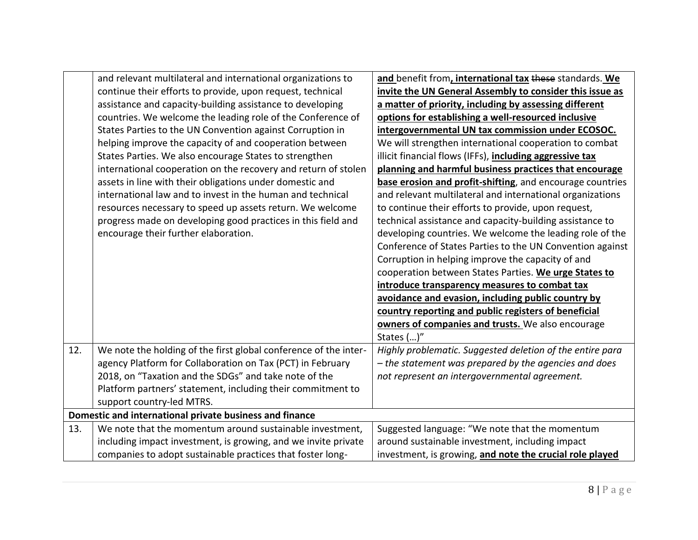|     | and relevant multilateral and international organizations to     | and benefit from, international tax these standards. We   |
|-----|------------------------------------------------------------------|-----------------------------------------------------------|
|     | continue their efforts to provide, upon request, technical       | invite the UN General Assembly to consider this issue as  |
|     | assistance and capacity-building assistance to developing        | a matter of priority, including by assessing different    |
|     | countries. We welcome the leading role of the Conference of      | options for establishing a well-resourced inclusive       |
|     | States Parties to the UN Convention against Corruption in        | intergovernmental UN tax commission under ECOSOC.         |
|     | helping improve the capacity of and cooperation between          | We will strengthen international cooperation to combat    |
|     | States Parties. We also encourage States to strengthen           | illicit financial flows (IFFs), including aggressive tax  |
|     | international cooperation on the recovery and return of stolen   | planning and harmful business practices that encourage    |
|     | assets in line with their obligations under domestic and         | base erosion and profit-shifting, and encourage countries |
|     | international law and to invest in the human and technical       | and relevant multilateral and international organizations |
|     | resources necessary to speed up assets return. We welcome        | to continue their efforts to provide, upon request,       |
|     | progress made on developing good practices in this field and     | technical assistance and capacity-building assistance to  |
|     | encourage their further elaboration.                             | developing countries. We welcome the leading role of the  |
|     |                                                                  | Conference of States Parties to the UN Convention against |
|     |                                                                  | Corruption in helping improve the capacity of and         |
|     |                                                                  | cooperation between States Parties. We urge States to     |
|     |                                                                  | introduce transparency measures to combat tax             |
|     |                                                                  | avoidance and evasion, including public country by        |
|     |                                                                  | country reporting and public registers of beneficial      |
|     |                                                                  | owners of companies and trusts. We also encourage         |
|     |                                                                  | States ()"                                                |
| 12. | We note the holding of the first global conference of the inter- | Highly problematic. Suggested deletion of the entire para |
|     | agency Platform for Collaboration on Tax (PCT) in February       | - the statement was prepared by the agencies and does     |
|     | 2018, on "Taxation and the SDGs" and take note of the            | not represent an intergovernmental agreement.             |
|     | Platform partners' statement, including their commitment to      |                                                           |
|     | support country-led MTRS.                                        |                                                           |
|     | Domestic and international private business and finance          |                                                           |
| 13. | We note that the momentum around sustainable investment,         | Suggested language: "We note that the momentum            |
|     | including impact investment, is growing, and we invite private   | around sustainable investment, including impact           |
|     | companies to adopt sustainable practices that foster long-       | investment, is growing, and note the crucial role played  |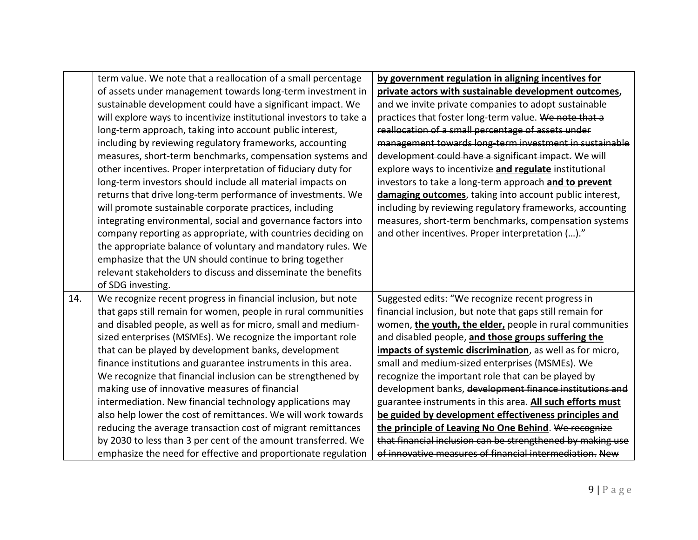|     | term value. We note that a reallocation of a small percentage      | by government regulation in aligning incentives for        |
|-----|--------------------------------------------------------------------|------------------------------------------------------------|
|     | of assets under management towards long-term investment in         | private actors with sustainable development outcomes,      |
|     | sustainable development could have a significant impact. We        | and we invite private companies to adopt sustainable       |
|     | will explore ways to incentivize institutional investors to take a | practices that foster long-term value. We note that a      |
|     | long-term approach, taking into account public interest,           | reallocation of a small percentage of assets under         |
|     | including by reviewing regulatory frameworks, accounting           | management towards long-term investment in sustainable     |
|     | measures, short-term benchmarks, compensation systems and          | development could have a significant impact. We will       |
|     | other incentives. Proper interpretation of fiduciary duty for      | explore ways to incentivize and regulate institutional     |
|     | long-term investors should include all material impacts on         | investors to take a long-term approach and to prevent      |
|     | returns that drive long-term performance of investments. We        | damaging outcomes, taking into account public interest,    |
|     | will promote sustainable corporate practices, including            | including by reviewing regulatory frameworks, accounting   |
|     | integrating environmental, social and governance factors into      | measures, short-term benchmarks, compensation systems      |
|     | company reporting as appropriate, with countries deciding on       | and other incentives. Proper interpretation ()."           |
|     | the appropriate balance of voluntary and mandatory rules. We       |                                                            |
|     | emphasize that the UN should continue to bring together            |                                                            |
|     | relevant stakeholders to discuss and disseminate the benefits      |                                                            |
|     | of SDG investing.                                                  |                                                            |
| 14. | We recognize recent progress in financial inclusion, but note      | Suggested edits: "We recognize recent progress in          |
|     | that gaps still remain for women, people in rural communities      | financial inclusion, but note that gaps still remain for   |
|     | and disabled people, as well as for micro, small and medium-       | women, the youth, the elder, people in rural communities   |
|     | sized enterprises (MSMEs). We recognize the important role         | and disabled people, and those groups suffering the        |
|     | that can be played by development banks, development               | impacts of systemic discrimination, as well as for micro,  |
|     | finance institutions and guarantee instruments in this area.       | small and medium-sized enterprises (MSMEs). We             |
|     | We recognize that financial inclusion can be strengthened by       | recognize the important role that can be played by         |
|     | making use of innovative measures of financial                     | development banks, development finance institutions and    |
|     | intermediation. New financial technology applications may          | guarantee instruments in this area. All such efforts must  |
|     | also help lower the cost of remittances. We will work towards      | be guided by development effectiveness principles and      |
|     | reducing the average transaction cost of migrant remittances       | the principle of Leaving No One Behind. We recognize       |
|     | by 2030 to less than 3 per cent of the amount transferred. We      | that financial inclusion can be strengthened by making use |
|     | emphasize the need for effective and proportionate regulation      | of innovative measures of financial intermediation. New    |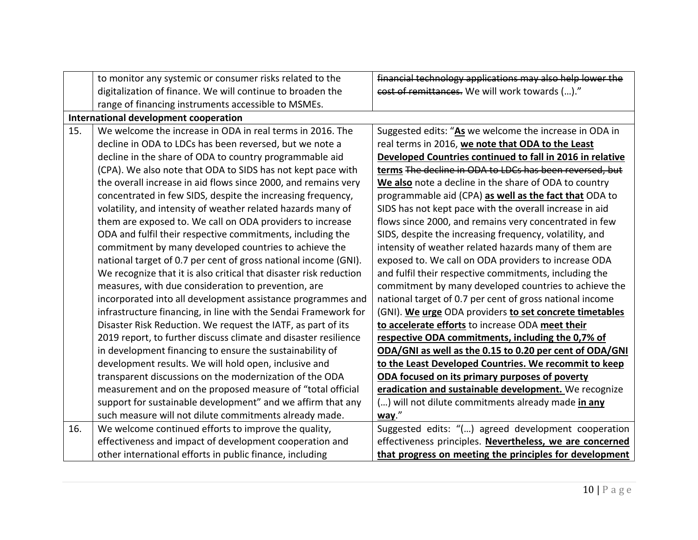|     | to monitor any systemic or consumer risks related to the           | financial technology applications may also help lower the |
|-----|--------------------------------------------------------------------|-----------------------------------------------------------|
|     | digitalization of finance. We will continue to broaden the         | cost of remittances. We will work towards ()."            |
|     | range of financing instruments accessible to MSMEs.                |                                                           |
|     | International development cooperation                              |                                                           |
| 15. | We welcome the increase in ODA in real terms in 2016. The          | Suggested edits: "As we welcome the increase in ODA in    |
|     | decline in ODA to LDCs has been reversed, but we note a            | real terms in 2016, we note that ODA to the Least         |
|     | decline in the share of ODA to country programmable aid            | Developed Countries continued to fall in 2016 in relative |
|     | (CPA). We also note that ODA to SIDS has not kept pace with        | terms The decline in ODA to LDCs has been reversed, but   |
|     | the overall increase in aid flows since 2000, and remains very     | We also note a decline in the share of ODA to country     |
|     | concentrated in few SIDS, despite the increasing frequency,        | programmable aid (CPA) as well as the fact that ODA to    |
|     | volatility, and intensity of weather related hazards many of       | SIDS has not kept pace with the overall increase in aid   |
|     | them are exposed to. We call on ODA providers to increase          | flows since 2000, and remains very concentrated in few    |
|     | ODA and fulfil their respective commitments, including the         | SIDS, despite the increasing frequency, volatility, and   |
|     | commitment by many developed countries to achieve the              | intensity of weather related hazards many of them are     |
|     | national target of 0.7 per cent of gross national income (GNI).    | exposed to. We call on ODA providers to increase ODA      |
|     | We recognize that it is also critical that disaster risk reduction | and fulfil their respective commitments, including the    |
|     | measures, with due consideration to prevention, are                | commitment by many developed countries to achieve the     |
|     | incorporated into all development assistance programmes and        | national target of 0.7 per cent of gross national income  |
|     | infrastructure financing, in line with the Sendai Framework for    | (GNI). We urge ODA providers to set concrete timetables   |
|     | Disaster Risk Reduction. We request the IATF, as part of its       | to accelerate efforts to increase ODA meet their          |
|     | 2019 report, to further discuss climate and disaster resilience    | respective ODA commitments, including the 0,7% of         |
|     | in development financing to ensure the sustainability of           | ODA/GNI as well as the 0.15 to 0.20 per cent of ODA/GNI   |
|     | development results. We will hold open, inclusive and              | to the Least Developed Countries. We recommit to keep     |
|     | transparent discussions on the modernization of the ODA            | ODA focused on its primary purposes of poverty            |
|     | measurement and on the proposed measure of "total official         | eradication and sustainable development. We recognize     |
|     | support for sustainable development" and we affirm that any        | () will not dilute commitments already made in any        |
|     | such measure will not dilute commitments already made.             | way."                                                     |
| 16. | We welcome continued efforts to improve the quality,               | Suggested edits: "() agreed development cooperation       |
|     | effectiveness and impact of development cooperation and            | effectiveness principles. Nevertheless, we are concerned  |
|     | other international efforts in public finance, including           | that progress on meeting the principles for development   |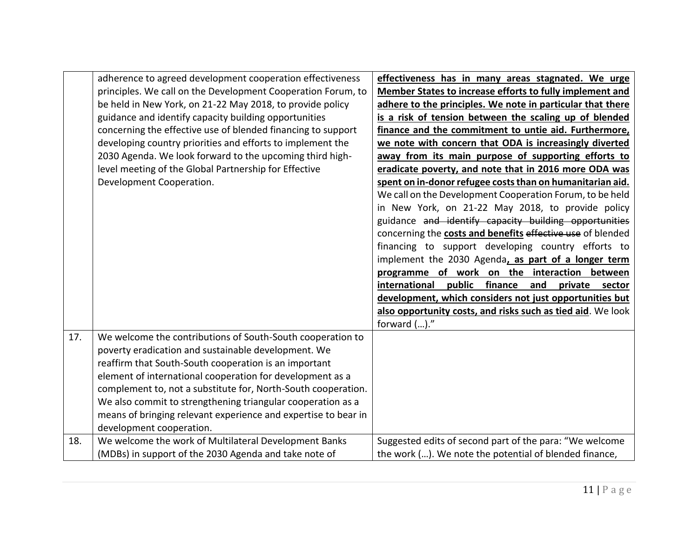|     | adherence to agreed development cooperation effectiveness      | effectiveness has in many areas stagnated. We urge             |
|-----|----------------------------------------------------------------|----------------------------------------------------------------|
|     | principles. We call on the Development Cooperation Forum, to   | Member States to increase efforts to fully implement and       |
|     | be held in New York, on 21-22 May 2018, to provide policy      | adhere to the principles. We note in particular that there     |
|     | guidance and identify capacity building opportunities          | is a risk of tension between the scaling up of blended         |
|     | concerning the effective use of blended financing to support   | finance and the commitment to untie aid. Furthermore,          |
|     | developing country priorities and efforts to implement the     | we note with concern that ODA is increasingly diverted         |
|     | 2030 Agenda. We look forward to the upcoming third high-       | away from its main purpose of supporting efforts to            |
|     | level meeting of the Global Partnership for Effective          | eradicate poverty, and note that in 2016 more ODA was          |
|     | Development Cooperation.                                       | spent on in-donor refugee costs than on humanitarian aid.      |
|     |                                                                | We call on the Development Cooperation Forum, to be held       |
|     |                                                                | in New York, on 21-22 May 2018, to provide policy              |
|     |                                                                | guidance and identify capacity building opportunities          |
|     |                                                                | concerning the costs and benefits effective use of blended     |
|     |                                                                | financing to support developing country efforts to             |
|     |                                                                | implement the 2030 Agenda, as part of a longer term            |
|     |                                                                | programme of work on the interaction between                   |
|     |                                                                | finance<br>international<br>public<br>and<br>private<br>sector |
|     |                                                                | development, which considers not just opportunities but        |
|     |                                                                | also opportunity costs, and risks such as tied aid. We look    |
|     |                                                                | forward ()."                                                   |
| 17. | We welcome the contributions of South-South cooperation to     |                                                                |
|     | poverty eradication and sustainable development. We            |                                                                |
|     | reaffirm that South-South cooperation is an important          |                                                                |
|     | element of international cooperation for development as a      |                                                                |
|     | complement to, not a substitute for, North-South cooperation.  |                                                                |
|     | We also commit to strengthening triangular cooperation as a    |                                                                |
|     | means of bringing relevant experience and expertise to bear in |                                                                |
|     | development cooperation.                                       |                                                                |
| 18. | We welcome the work of Multilateral Development Banks          | Suggested edits of second part of the para: "We welcome        |
|     | (MDBs) in support of the 2030 Agenda and take note of          | the work (). We note the potential of blended finance,         |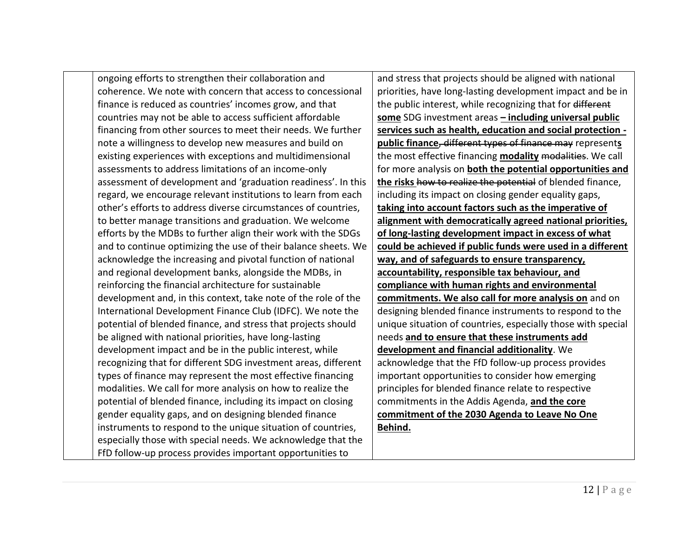ongoing efforts to strengthen their collaboration and coherence. We note with concern that access to concessional finance is reduced as countries' incomes grow, and that countries may not be able to access sufficient affordable financing from other sources to meet their needs. We further note a willingness to develop new measures and build on existing experiences with exceptions and multidimensional assessments to address limitations of an income-only assessment of development and 'graduation readiness'. In this regard, we encourage relevant institutions to learn from each other's efforts to address diverse circumstances of countries, to better manage transitions and graduation. We welcome efforts by the MDBs to further align their work with the SDGs and to continue optimizing the use of their balance sheets. We acknowledge the increasing and pivotal function of national and regional development banks, alongside the MDBs, in reinforcing the financial architecture for sustainable development and, in this context, take note of the role of the International Development Finance Club (IDFC). We note the potential of blended finance, and stress that projects should be aligned with national priorities, have long-lasting development impact and be in the public interest, while recognizing that for different SDG investment areas, different types of finance may represent the most effective financing modalities. We call for more analysis on how to realize the potential of blended finance, including its impact on closing gender equality gaps, and on designing blended finance instruments to respond to the unique situation of countries, especially those with special needs. We acknowledge that the FfD follow-up process provides important opportunities to

and stress that projects should be aligned with national priorities, have long-lasting development impact and be in the public interest, while recognizing that for different **some** SDG investment areas **– including universal public services such as health, education and social protection public finance**, different types of finance may represent**s** the most effective financing **modality** modalities. We call for more analysis on **both the potential opportunities and the risks** how to realize the potential of blended finance, including its impact on closing gender equality gaps, **taking into account factors such as the imperative of alignment with democratically agreed national priorities, of long-lasting development impact in excess of what could be achieved if public funds were used in a different way, and of safeguards to ensure transparency, accountability, responsible tax behaviour, and compliance with human rights and environmental commitments. We also call for more analysis on** and on designing blended finance instruments to respond to the unique situation of countries, especially those with special needs **and to ensure that these instruments add development and financial additionality**. We acknowledge that the FfD follow-up process provides important opportunities to consider how emerging principles for blended finance relate to respective commitments in the Addis Agenda, **and the core commitment of the 2030 Agenda to Leave No One Behind.**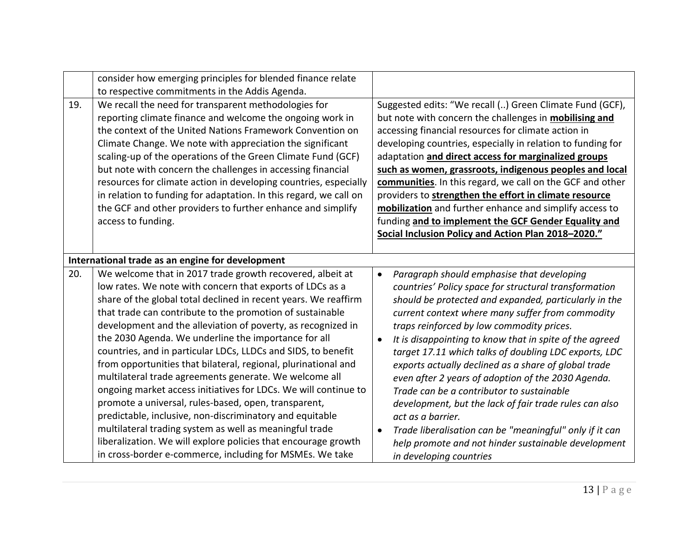|     | consider how emerging principles for blended finance relate<br>to respective commitments in the Addis Agenda.                                                                                                                                                                                                                                                                                                                                                                                                                                                                                                                                                                                                                                                                                                                                                                                                                                       |                                                                                                                                                                                                                                                                                                                                                                                                                                                                                                                                                                                                                                                                                                                                                                         |
|-----|-----------------------------------------------------------------------------------------------------------------------------------------------------------------------------------------------------------------------------------------------------------------------------------------------------------------------------------------------------------------------------------------------------------------------------------------------------------------------------------------------------------------------------------------------------------------------------------------------------------------------------------------------------------------------------------------------------------------------------------------------------------------------------------------------------------------------------------------------------------------------------------------------------------------------------------------------------|-------------------------------------------------------------------------------------------------------------------------------------------------------------------------------------------------------------------------------------------------------------------------------------------------------------------------------------------------------------------------------------------------------------------------------------------------------------------------------------------------------------------------------------------------------------------------------------------------------------------------------------------------------------------------------------------------------------------------------------------------------------------------|
| 19. | We recall the need for transparent methodologies for<br>reporting climate finance and welcome the ongoing work in<br>the context of the United Nations Framework Convention on<br>Climate Change. We note with appreciation the significant<br>scaling-up of the operations of the Green Climate Fund (GCF)<br>but note with concern the challenges in accessing financial<br>resources for climate action in developing countries, especially<br>in relation to funding for adaptation. In this regard, we call on<br>the GCF and other providers to further enhance and simplify<br>access to funding.                                                                                                                                                                                                                                                                                                                                            | Suggested edits: "We recall () Green Climate Fund (GCF),<br>but note with concern the challenges in <b>mobilising and</b><br>accessing financial resources for climate action in<br>developing countries, especially in relation to funding for<br>adaptation and direct access for marginalized groups<br>such as women, grassroots, indigenous peoples and local<br>communities. In this regard, we call on the GCF and other<br>providers to strengthen the effort in climate resource<br>mobilization and further enhance and simplify access to<br>funding and to implement the GCF Gender Equality and<br>Social Inclusion Policy and Action Plan 2018-2020."                                                                                                     |
| 20. | International trade as an engine for development<br>We welcome that in 2017 trade growth recovered, albeit at<br>low rates. We note with concern that exports of LDCs as a<br>share of the global total declined in recent years. We reaffirm<br>that trade can contribute to the promotion of sustainable<br>development and the alleviation of poverty, as recognized in<br>the 2030 Agenda. We underline the importance for all<br>countries, and in particular LDCs, LLDCs and SIDS, to benefit<br>from opportunities that bilateral, regional, plurinational and<br>multilateral trade agreements generate. We welcome all<br>ongoing market access initiatives for LDCs. We will continue to<br>promote a universal, rules-based, open, transparent,<br>predictable, inclusive, non-discriminatory and equitable<br>multilateral trading system as well as meaningful trade<br>liberalization. We will explore policies that encourage growth | Paragraph should emphasise that developing<br>$\bullet$<br>countries' Policy space for structural transformation<br>should be protected and expanded, particularly in the<br>current context where many suffer from commodity<br>traps reinforced by low commodity prices.<br>It is disappointing to know that in spite of the agreed<br>target 17.11 which talks of doubling LDC exports, LDC<br>exports actually declined as a share of global trade<br>even after 2 years of adoption of the 2030 Agenda.<br>Trade can be a contributor to sustainable<br>development, but the lack of fair trade rules can also<br>act as a barrier.<br>Trade liberalisation can be "meaningful" only if it can<br>$\bullet$<br>help promote and not hinder sustainable development |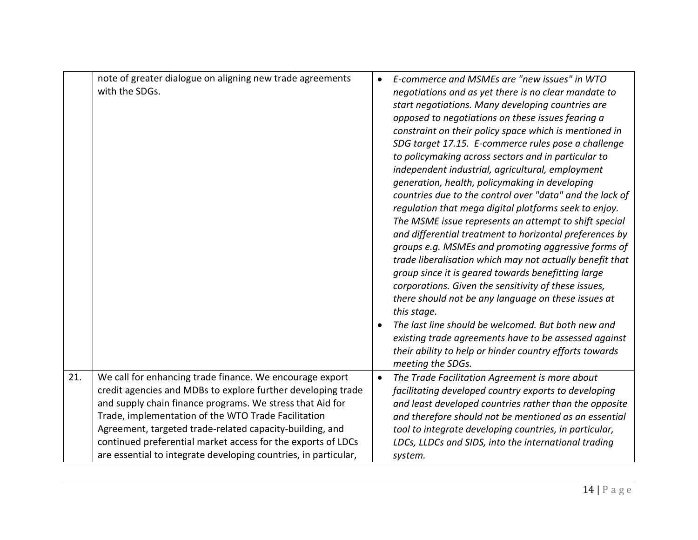|     | note of greater dialogue on aligning new trade agreements<br>with the SDGs.                                                                                                                                                                                                                                                                                                                                                                 | $\bullet$<br>$\bullet$ | E-commerce and MSMEs are "new issues" in WTO<br>negotiations and as yet there is no clear mandate to<br>start negotiations. Many developing countries are<br>opposed to negotiations on these issues fearing a<br>constraint on their policy space which is mentioned in<br>SDG target 17.15. E-commerce rules pose a challenge<br>to policymaking across sectors and in particular to<br>independent industrial, agricultural, employment<br>generation, health, policymaking in developing<br>countries due to the control over "data" and the lack of<br>regulation that mega digital platforms seek to enjoy.<br>The MSME issue represents an attempt to shift special<br>and differential treatment to horizontal preferences by<br>groups e.g. MSMEs and promoting aggressive forms of<br>trade liberalisation which may not actually benefit that<br>group since it is geared towards benefitting large<br>corporations. Given the sensitivity of these issues,<br>there should not be any language on these issues at<br>this stage.<br>The last line should be welcomed. But both new and<br>existing trade agreements have to be assessed against<br>their ability to help or hinder country efforts towards<br>meeting the SDGs. |
|-----|---------------------------------------------------------------------------------------------------------------------------------------------------------------------------------------------------------------------------------------------------------------------------------------------------------------------------------------------------------------------------------------------------------------------------------------------|------------------------|---------------------------------------------------------------------------------------------------------------------------------------------------------------------------------------------------------------------------------------------------------------------------------------------------------------------------------------------------------------------------------------------------------------------------------------------------------------------------------------------------------------------------------------------------------------------------------------------------------------------------------------------------------------------------------------------------------------------------------------------------------------------------------------------------------------------------------------------------------------------------------------------------------------------------------------------------------------------------------------------------------------------------------------------------------------------------------------------------------------------------------------------------------------------------------------------------------------------------------------------|
| 21. | We call for enhancing trade finance. We encourage export<br>credit agencies and MDBs to explore further developing trade<br>and supply chain finance programs. We stress that Aid for<br>Trade, implementation of the WTO Trade Facilitation<br>Agreement, targeted trade-related capacity-building, and<br>continued preferential market access for the exports of LDCs<br>are essential to integrate developing countries, in particular, | $\bullet$              | The Trade Facilitation Agreement is more about<br>facilitating developed country exports to developing<br>and least developed countries rather than the opposite<br>and therefore should not be mentioned as an essential<br>tool to integrate developing countries, in particular,<br>LDCs, LLDCs and SIDS, into the international trading<br>system.                                                                                                                                                                                                                                                                                                                                                                                                                                                                                                                                                                                                                                                                                                                                                                                                                                                                                      |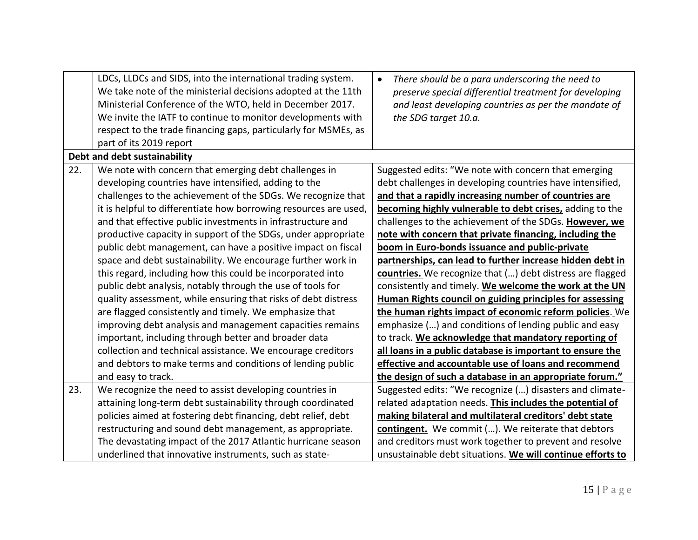|     | LDCs, LLDCs and SIDS, into the international trading system.<br>We take note of the ministerial decisions adopted at the 11th<br>Ministerial Conference of the WTO, held in December 2017.<br>We invite the IATF to continue to monitor developments with<br>respect to the trade financing gaps, particularly for MSMEs, as<br>part of its 2019 report | There should be a para underscoring the need to<br>$\bullet$<br>preserve special differential treatment for developing<br>and least developing countries as per the mandate of<br>the SDG target 10.a. |
|-----|---------------------------------------------------------------------------------------------------------------------------------------------------------------------------------------------------------------------------------------------------------------------------------------------------------------------------------------------------------|--------------------------------------------------------------------------------------------------------------------------------------------------------------------------------------------------------|
|     | Debt and debt sustainability                                                                                                                                                                                                                                                                                                                            |                                                                                                                                                                                                        |
| 22. | We note with concern that emerging debt challenges in                                                                                                                                                                                                                                                                                                   | Suggested edits: "We note with concern that emerging                                                                                                                                                   |
|     | developing countries have intensified, adding to the                                                                                                                                                                                                                                                                                                    | debt challenges in developing countries have intensified,                                                                                                                                              |
|     | challenges to the achievement of the SDGs. We recognize that                                                                                                                                                                                                                                                                                            | and that a rapidly increasing number of countries are                                                                                                                                                  |
|     | it is helpful to differentiate how borrowing resources are used,                                                                                                                                                                                                                                                                                        | becoming highly vulnerable to debt crises, adding to the                                                                                                                                               |
|     | and that effective public investments in infrastructure and                                                                                                                                                                                                                                                                                             | challenges to the achievement of the SDGs. However, we                                                                                                                                                 |
|     | productive capacity in support of the SDGs, under appropriate                                                                                                                                                                                                                                                                                           | note with concern that private financing, including the                                                                                                                                                |
|     | public debt management, can have a positive impact on fiscal                                                                                                                                                                                                                                                                                            | boom in Euro-bonds issuance and public-private                                                                                                                                                         |
|     | space and debt sustainability. We encourage further work in                                                                                                                                                                                                                                                                                             | partnerships, can lead to further increase hidden debt in                                                                                                                                              |
|     | this regard, including how this could be incorporated into                                                                                                                                                                                                                                                                                              | countries. We recognize that () debt distress are flagged                                                                                                                                              |
|     | public debt analysis, notably through the use of tools for                                                                                                                                                                                                                                                                                              | consistently and timely. We welcome the work at the UN                                                                                                                                                 |
|     | quality assessment, while ensuring that risks of debt distress                                                                                                                                                                                                                                                                                          | <b>Human Rights council on guiding principles for assessing</b>                                                                                                                                        |
|     | are flagged consistently and timely. We emphasize that                                                                                                                                                                                                                                                                                                  | the human rights impact of economic reform policies. We                                                                                                                                                |
|     | improving debt analysis and management capacities remains                                                                                                                                                                                                                                                                                               | emphasize () and conditions of lending public and easy                                                                                                                                                 |
|     | important, including through better and broader data                                                                                                                                                                                                                                                                                                    | to track. We acknowledge that mandatory reporting of                                                                                                                                                   |
|     | collection and technical assistance. We encourage creditors                                                                                                                                                                                                                                                                                             | all loans in a public database is important to ensure the                                                                                                                                              |
|     | and debtors to make terms and conditions of lending public                                                                                                                                                                                                                                                                                              | effective and accountable use of loans and recommend                                                                                                                                                   |
|     | and easy to track.                                                                                                                                                                                                                                                                                                                                      | the design of such a database in an appropriate forum."                                                                                                                                                |
| 23. | We recognize the need to assist developing countries in                                                                                                                                                                                                                                                                                                 | Suggested edits: "We recognize () disasters and climate-                                                                                                                                               |
|     | attaining long-term debt sustainability through coordinated                                                                                                                                                                                                                                                                                             | related adaptation needs. This includes the potential of                                                                                                                                               |
|     | policies aimed at fostering debt financing, debt relief, debt                                                                                                                                                                                                                                                                                           | making bilateral and multilateral creditors' debt state                                                                                                                                                |
|     | restructuring and sound debt management, as appropriate.                                                                                                                                                                                                                                                                                                | contingent. We commit (). We reiterate that debtors                                                                                                                                                    |
|     | The devastating impact of the 2017 Atlantic hurricane season                                                                                                                                                                                                                                                                                            | and creditors must work together to prevent and resolve                                                                                                                                                |
|     | underlined that innovative instruments, such as state-                                                                                                                                                                                                                                                                                                  | unsustainable debt situations. We will continue efforts to                                                                                                                                             |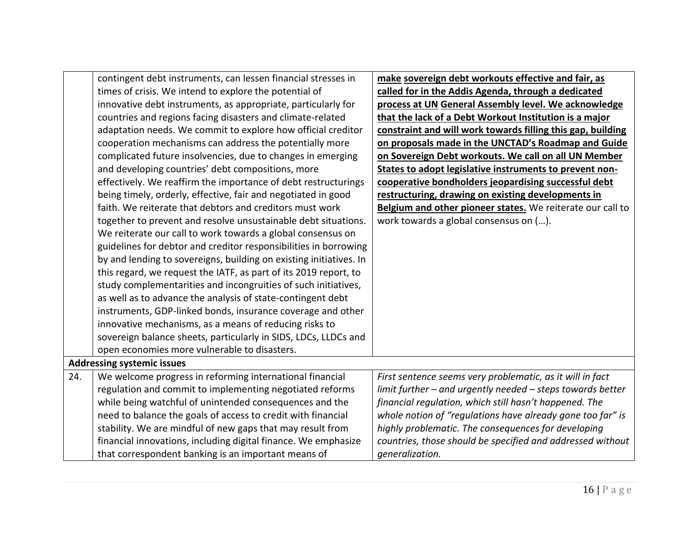|     | contingent debt instruments, can lessen financial stresses in      | make sovereign debt workouts effective and fair, as         |
|-----|--------------------------------------------------------------------|-------------------------------------------------------------|
|     | times of crisis. We intend to explore the potential of             | called for in the Addis Agenda, through a dedicated         |
|     | innovative debt instruments, as appropriate, particularly for      | process at UN General Assembly level. We acknowledge        |
|     | countries and regions facing disasters and climate-related         | that the lack of a Debt Workout Institution is a major      |
|     | adaptation needs. We commit to explore how official creditor       | constraint and will work towards filling this gap, building |
|     | cooperation mechanisms can address the potentially more            | on proposals made in the UNCTAD's Roadmap and Guide         |
|     | complicated future insolvencies, due to changes in emerging        | on Sovereign Debt workouts. We call on all UN Member        |
|     | and developing countries' debt compositions, more                  | States to adopt legislative instruments to prevent non-     |
|     | effectively. We reaffirm the importance of debt restructurings     | cooperative bondholders jeopardising successful debt        |
|     | being timely, orderly, effective, fair and negotiated in good      | restructuring, drawing on existing developments in          |
|     | faith. We reiterate that debtors and creditors must work           | Belgium and other pioneer states. We reiterate our call to  |
|     | together to prevent and resolve unsustainable debt situations.     | work towards a global consensus on ().                      |
|     | We reiterate our call to work towards a global consensus on        |                                                             |
|     | guidelines for debtor and creditor responsibilities in borrowing   |                                                             |
|     | by and lending to sovereigns, building on existing initiatives. In |                                                             |
|     | this regard, we request the IATF, as part of its 2019 report, to   |                                                             |
|     | study complementarities and incongruities of such initiatives,     |                                                             |
|     | as well as to advance the analysis of state-contingent debt        |                                                             |
|     | instruments, GDP-linked bonds, insurance coverage and other        |                                                             |
|     | innovative mechanisms, as a means of reducing risks to             |                                                             |
|     | sovereign balance sheets, particularly in SIDS, LDCs, LLDCs and    |                                                             |
|     | open economies more vulnerable to disasters.                       |                                                             |
|     | <b>Addressing systemic issues</b>                                  |                                                             |
| 24. | We welcome progress in reforming international financial           | First sentence seems very problematic, as it will in fact   |
|     | regulation and commit to implementing negotiated reforms           | limit further - and urgently needed - steps towards better  |
|     | while being watchful of unintended consequences and the            | financial regulation, which still hasn't happened. The      |
|     | need to balance the goals of access to credit with financial       | whole notion of "regulations have already gone too far" is  |
|     | stability. We are mindful of new gaps that may result from         | highly problematic. The consequences for developing         |
|     | financial innovations, including digital finance. We emphasize     | countries, those should be specified and addressed without  |
|     | that correspondent banking is an important means of                | generalization.                                             |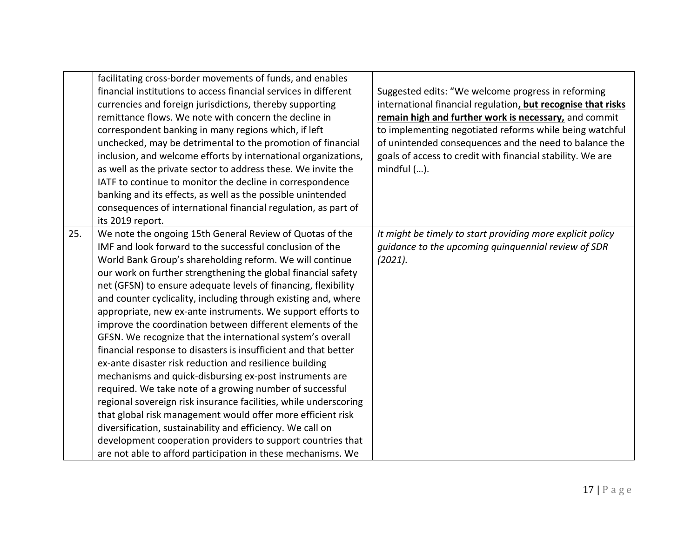|     | facilitating cross-border movements of funds, and enables<br>financial institutions to access financial services in different<br>currencies and foreign jurisdictions, thereby supporting<br>remittance flows. We note with concern the decline in<br>correspondent banking in many regions which, if left<br>unchecked, may be detrimental to the promotion of financial<br>inclusion, and welcome efforts by international organizations,<br>as well as the private sector to address these. We invite the<br>IATF to continue to monitor the decline in correspondence                                                                                                                                                                                                                                                                                                                                                                                                                                                                                                                                                                                             | Suggested edits: "We welcome progress in reforming<br>international financial regulation, but recognise that risks<br>remain high and further work is necessary, and commit<br>to implementing negotiated reforms while being watchful<br>of unintended consequences and the need to balance the<br>goals of access to credit with financial stability. We are<br>$mindful$ $().$ |
|-----|-----------------------------------------------------------------------------------------------------------------------------------------------------------------------------------------------------------------------------------------------------------------------------------------------------------------------------------------------------------------------------------------------------------------------------------------------------------------------------------------------------------------------------------------------------------------------------------------------------------------------------------------------------------------------------------------------------------------------------------------------------------------------------------------------------------------------------------------------------------------------------------------------------------------------------------------------------------------------------------------------------------------------------------------------------------------------------------------------------------------------------------------------------------------------|-----------------------------------------------------------------------------------------------------------------------------------------------------------------------------------------------------------------------------------------------------------------------------------------------------------------------------------------------------------------------------------|
|     | banking and its effects, as well as the possible unintended<br>consequences of international financial regulation, as part of<br>its 2019 report.                                                                                                                                                                                                                                                                                                                                                                                                                                                                                                                                                                                                                                                                                                                                                                                                                                                                                                                                                                                                                     |                                                                                                                                                                                                                                                                                                                                                                                   |
| 25. | We note the ongoing 15th General Review of Quotas of the<br>IMF and look forward to the successful conclusion of the<br>World Bank Group's shareholding reform. We will continue<br>our work on further strengthening the global financial safety<br>net (GFSN) to ensure adequate levels of financing, flexibility<br>and counter cyclicality, including through existing and, where<br>appropriate, new ex-ante instruments. We support efforts to<br>improve the coordination between different elements of the<br>GFSN. We recognize that the international system's overall<br>financial response to disasters is insufficient and that better<br>ex-ante disaster risk reduction and resilience building<br>mechanisms and quick-disbursing ex-post instruments are<br>required. We take note of a growing number of successful<br>regional sovereign risk insurance facilities, while underscoring<br>that global risk management would offer more efficient risk<br>diversification, sustainability and efficiency. We call on<br>development cooperation providers to support countries that<br>are not able to afford participation in these mechanisms. We | It might be timely to start providing more explicit policy<br>guidance to the upcoming quinquennial review of SDR<br>(2021).                                                                                                                                                                                                                                                      |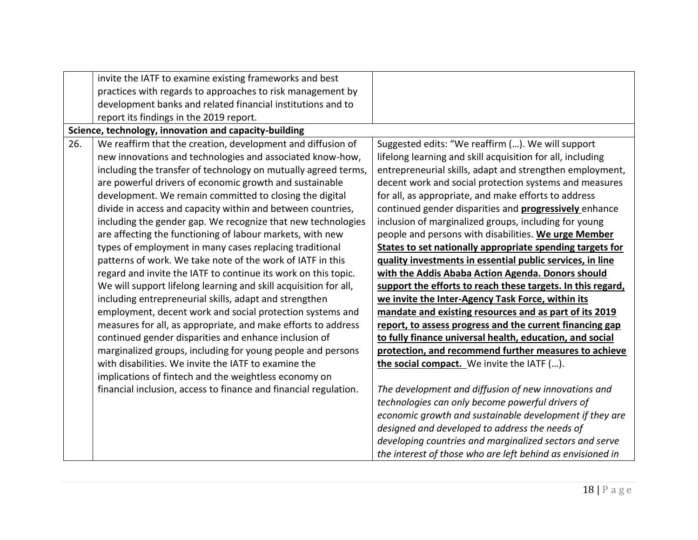|     | invite the IATF to examine existing frameworks and best          |                                                               |
|-----|------------------------------------------------------------------|---------------------------------------------------------------|
|     | practices with regards to approaches to risk management by       |                                                               |
|     | development banks and related financial institutions and to      |                                                               |
|     | report its findings in the 2019 report.                          |                                                               |
|     | Science, technology, innovation and capacity-building            |                                                               |
| 26. | We reaffirm that the creation, development and diffusion of      | Suggested edits: "We reaffirm (). We will support             |
|     | new innovations and technologies and associated know-how,        | lifelong learning and skill acquisition for all, including    |
|     | including the transfer of technology on mutually agreed terms,   | entrepreneurial skills, adapt and strengthen employment,      |
|     | are powerful drivers of economic growth and sustainable          | decent work and social protection systems and measures        |
|     | development. We remain committed to closing the digital          | for all, as appropriate, and make efforts to address          |
|     | divide in access and capacity within and between countries,      | continued gender disparities and <b>progressively</b> enhance |
|     | including the gender gap. We recognize that new technologies     | inclusion of marginalized groups, including for young         |
|     | are affecting the functioning of labour markets, with new        | people and persons with disabilities. We urge Member          |
|     | types of employment in many cases replacing traditional          | States to set nationally appropriate spending targets for     |
|     | patterns of work. We take note of the work of IATF in this       | quality investments in essential public services, in line     |
|     | regard and invite the IATF to continue its work on this topic.   | with the Addis Ababa Action Agenda. Donors should             |
|     | We will support lifelong learning and skill acquisition for all, | support the efforts to reach these targets. In this regard,   |
|     | including entrepreneurial skills, adapt and strengthen           | we invite the Inter-Agency Task Force, within its             |
|     | employment, decent work and social protection systems and        | mandate and existing resources and as part of its 2019        |
|     | measures for all, as appropriate, and make efforts to address    | report, to assess progress and the current financing gap      |
|     | continued gender disparities and enhance inclusion of            | to fully finance universal health, education, and social      |
|     | marginalized groups, including for young people and persons      | protection, and recommend further measures to achieve         |
|     | with disabilities. We invite the IATF to examine the             | the social compact. We invite the IATF ().                    |
|     | implications of fintech and the weightless economy on            |                                                               |
|     | financial inclusion, access to finance and financial regulation. | The development and diffusion of new innovations and          |
|     |                                                                  | technologies can only become powerful drivers of              |
|     |                                                                  | economic growth and sustainable development if they are       |
|     |                                                                  | designed and developed to address the needs of                |
|     |                                                                  | developing countries and marginalized sectors and serve       |
|     |                                                                  | the interest of those who are left behind as envisioned in    |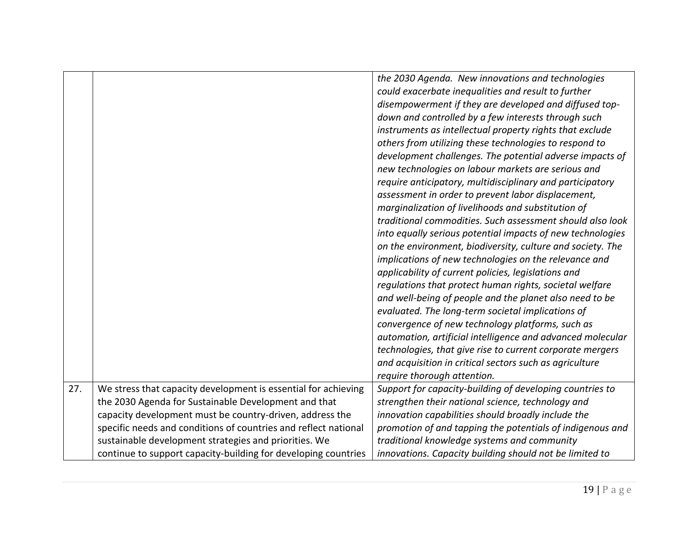|     |                                                                 | the 2030 Agenda. New innovations and technologies          |
|-----|-----------------------------------------------------------------|------------------------------------------------------------|
|     |                                                                 | could exacerbate inequalities and result to further        |
|     |                                                                 | disempowerment if they are developed and diffused top-     |
|     |                                                                 | down and controlled by a few interests through such        |
|     |                                                                 | instruments as intellectual property rights that exclude   |
|     |                                                                 | others from utilizing these technologies to respond to     |
|     |                                                                 | development challenges. The potential adverse impacts of   |
|     |                                                                 | new technologies on labour markets are serious and         |
|     |                                                                 | require anticipatory, multidisciplinary and participatory  |
|     |                                                                 | assessment in order to prevent labor displacement,         |
|     |                                                                 | marginalization of livelihoods and substitution of         |
|     |                                                                 | traditional commodities. Such assessment should also look  |
|     |                                                                 | into equally serious potential impacts of new technologies |
|     |                                                                 | on the environment, biodiversity, culture and society. The |
|     |                                                                 | implications of new technologies on the relevance and      |
|     |                                                                 | applicability of current policies, legislations and        |
|     |                                                                 | regulations that protect human rights, societal welfare    |
|     |                                                                 | and well-being of people and the planet also need to be    |
|     |                                                                 | evaluated. The long-term societal implications of          |
|     |                                                                 | convergence of new technology platforms, such as           |
|     |                                                                 | automation, artificial intelligence and advanced molecular |
|     |                                                                 | technologies, that give rise to current corporate mergers  |
|     |                                                                 | and acquisition in critical sectors such as agriculture    |
|     |                                                                 | require thorough attention.                                |
| 27. | We stress that capacity development is essential for achieving  | Support for capacity-building of developing countries to   |
|     | the 2030 Agenda for Sustainable Development and that            | strengthen their national science, technology and          |
|     | capacity development must be country-driven, address the        | innovation capabilities should broadly include the         |
|     | specific needs and conditions of countries and reflect national | promotion of and tapping the potentials of indigenous and  |
|     | sustainable development strategies and priorities. We           | traditional knowledge systems and community                |
|     | continue to support capacity-building for developing countries  | innovations. Capacity building should not be limited to    |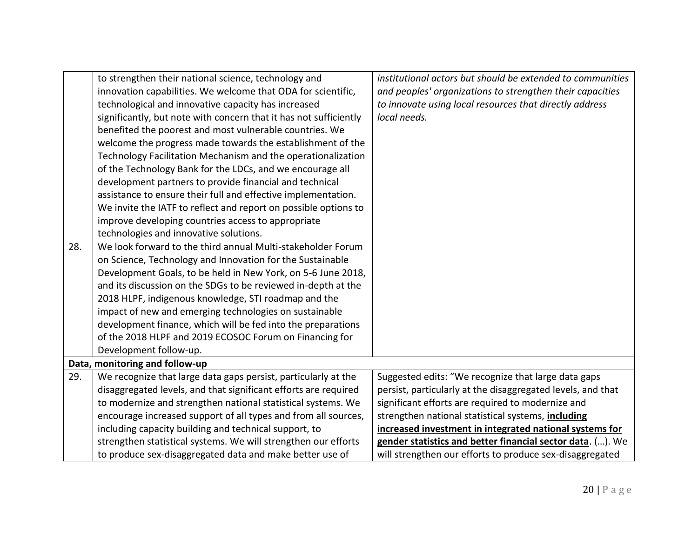|     | to strengthen their national science, technology and              | institutional actors but should be extended to communities  |
|-----|-------------------------------------------------------------------|-------------------------------------------------------------|
|     | innovation capabilities. We welcome that ODA for scientific,      | and peoples' organizations to strengthen their capacities   |
|     | technological and innovative capacity has increased               | to innovate using local resources that directly address     |
|     | significantly, but note with concern that it has not sufficiently | local needs.                                                |
|     | benefited the poorest and most vulnerable countries. We           |                                                             |
|     | welcome the progress made towards the establishment of the        |                                                             |
|     | Technology Facilitation Mechanism and the operationalization      |                                                             |
|     | of the Technology Bank for the LDCs, and we encourage all         |                                                             |
|     | development partners to provide financial and technical           |                                                             |
|     | assistance to ensure their full and effective implementation.     |                                                             |
|     | We invite the IATF to reflect and report on possible options to   |                                                             |
|     | improve developing countries access to appropriate                |                                                             |
|     | technologies and innovative solutions.                            |                                                             |
| 28. | We look forward to the third annual Multi-stakeholder Forum       |                                                             |
|     | on Science, Technology and Innovation for the Sustainable         |                                                             |
|     | Development Goals, to be held in New York, on 5-6 June 2018,      |                                                             |
|     | and its discussion on the SDGs to be reviewed in-depth at the     |                                                             |
|     | 2018 HLPF, indigenous knowledge, STI roadmap and the              |                                                             |
|     | impact of new and emerging technologies on sustainable            |                                                             |
|     | development finance, which will be fed into the preparations      |                                                             |
|     | of the 2018 HLPF and 2019 ECOSOC Forum on Financing for           |                                                             |
|     | Development follow-up.                                            |                                                             |
|     | Data, monitoring and follow-up                                    |                                                             |
| 29. | We recognize that large data gaps persist, particularly at the    | Suggested edits: "We recognize that large data gaps         |
|     | disaggregated levels, and that significant efforts are required   | persist, particularly at the disaggregated levels, and that |
|     | to modernize and strengthen national statistical systems. We      | significant efforts are required to modernize and           |
|     | encourage increased support of all types and from all sources,    | strengthen national statistical systems, including          |
|     | including capacity building and technical support, to             | increased investment in integrated national systems for     |
|     | strengthen statistical systems. We will strengthen our efforts    | gender statistics and better financial sector data. (). We  |
|     | to produce sex-disaggregated data and make better use of          | will strengthen our efforts to produce sex-disaggregated    |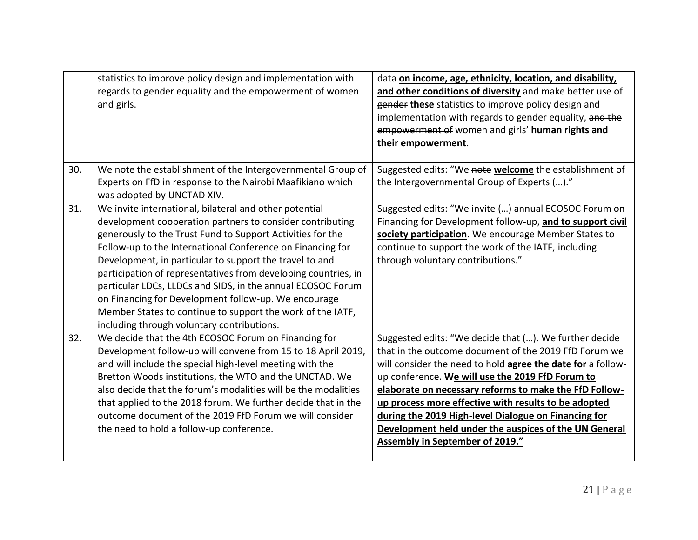|     | statistics to improve policy design and implementation with<br>regards to gender equality and the empowerment of women<br>and girls.                                                                                                                                                                                                                                                                                                                                                                                                                                                                            | data on income, age, ethnicity, location, and disability,<br>and other conditions of diversity and make better use of<br>gender these statistics to improve policy design and<br>implementation with regards to gender equality, and the<br>empowerment of women and girls' human rights and<br>their empowerment.                                                                                                                                                                                              |
|-----|-----------------------------------------------------------------------------------------------------------------------------------------------------------------------------------------------------------------------------------------------------------------------------------------------------------------------------------------------------------------------------------------------------------------------------------------------------------------------------------------------------------------------------------------------------------------------------------------------------------------|-----------------------------------------------------------------------------------------------------------------------------------------------------------------------------------------------------------------------------------------------------------------------------------------------------------------------------------------------------------------------------------------------------------------------------------------------------------------------------------------------------------------|
| 30. | We note the establishment of the Intergovernmental Group of<br>Experts on FfD in response to the Nairobi Maafikiano which<br>was adopted by UNCTAD XIV.                                                                                                                                                                                                                                                                                                                                                                                                                                                         | Suggested edits: "We note welcome the establishment of<br>the Intergovernmental Group of Experts ()."                                                                                                                                                                                                                                                                                                                                                                                                           |
| 31. | We invite international, bilateral and other potential<br>development cooperation partners to consider contributing<br>generously to the Trust Fund to Support Activities for the<br>Follow-up to the International Conference on Financing for<br>Development, in particular to support the travel to and<br>participation of representatives from developing countries, in<br>particular LDCs, LLDCs and SIDS, in the annual ECOSOC Forum<br>on Financing for Development follow-up. We encourage<br>Member States to continue to support the work of the IATF,<br>including through voluntary contributions. | Suggested edits: "We invite () annual ECOSOC Forum on<br>Financing for Development follow-up, and to support civil<br>society participation. We encourage Member States to<br>continue to support the work of the IATF, including<br>through voluntary contributions."                                                                                                                                                                                                                                          |
| 32. | We decide that the 4th ECOSOC Forum on Financing for<br>Development follow-up will convene from 15 to 18 April 2019,<br>and will include the special high-level meeting with the<br>Bretton Woods institutions, the WTO and the UNCTAD. We<br>also decide that the forum's modalities will be the modalities<br>that applied to the 2018 forum. We further decide that in the<br>outcome document of the 2019 FfD Forum we will consider<br>the need to hold a follow-up conference.                                                                                                                            | Suggested edits: "We decide that (). We further decide<br>that in the outcome document of the 2019 FfD Forum we<br>will consider the need to hold agree the date for a follow-<br>up conference. We will use the 2019 FfD Forum to<br>elaborate on necessary reforms to make the FfD Follow-<br>up process more effective with results to be adopted<br>during the 2019 High-level Dialogue on Financing for<br>Development held under the auspices of the UN General<br><b>Assembly in September of 2019."</b> |